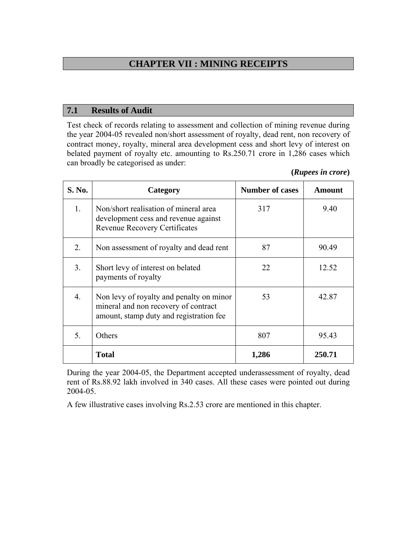# **CHAPTER VII : MINING RECEIPTS**

#### **7.1 Results of Audit**

Test check of records relating to assessment and collection of mining revenue during the year 2004-05 revealed non/short assessment of royalty, dead rent, non recovery of contract money, royalty, mineral area development cess and short levy of interest on belated payment of royalty etc. amounting to Rs.250.71 crore in 1,286 cases which can broadly be categorised as under:

| (Rupees in crore) |  |
|-------------------|--|

| S. No. | Category                                                                                                                    | <b>Number of cases</b> | Amount |
|--------|-----------------------------------------------------------------------------------------------------------------------------|------------------------|--------|
| 1.     | Non/short realisation of mineral area<br>development cess and revenue against<br><b>Revenue Recovery Certificates</b>       | 317                    | 9.40   |
| 2.     | Non assessment of royalty and dead rent                                                                                     | 87                     | 90.49  |
| 3.     | Short levy of interest on belated<br>payments of royalty                                                                    | 22                     | 12.52  |
| 4.     | Non levy of royalty and penalty on minor<br>mineral and non recovery of contract<br>amount, stamp duty and registration fee | 53                     | 42.87  |
| 5.     | Others                                                                                                                      | 807                    | 95.43  |
|        | <b>Total</b>                                                                                                                | 1,286                  | 250.71 |

During the year 2004-05, the Department accepted underassessment of royalty, dead rent of Rs.88.92 lakh involved in 340 cases. All these cases were pointed out during 2004-05.

A few illustrative cases involving Rs.2.53 crore are mentioned in this chapter.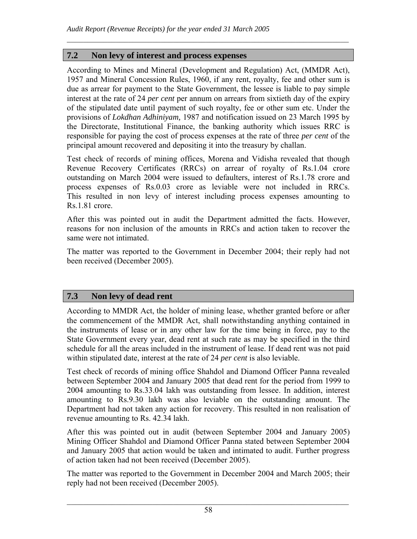### **7.2 Non levy of interest and process expenses**

According to Mines and Mineral (Development and Regulation) Act, (MMDR Act), 1957 and Mineral Concession Rules, 1960, if any rent, royalty, fee and other sum is due as arrear for payment to the State Government, the lessee is liable to pay simple interest at the rate of 24 *per cent* per annum on arrears from sixtieth day of the expiry of the stipulated date until payment of such royalty, fee or other sum etc. Under the provisions of *Lokdhan Adhiniyam,* 1987 and notification issued on 23 March 1995 by the Directorate, Institutional Finance, the banking authority which issues RRC is responsible for paying the cost of process expenses at the rate of three *per cent* of the principal amount recovered and depositing it into the treasury by challan.

 $\mathcal{L}_\mathcal{L} = \mathcal{L}_\mathcal{L} = \mathcal{L}_\mathcal{L} = \mathcal{L}_\mathcal{L} = \mathcal{L}_\mathcal{L} = \mathcal{L}_\mathcal{L} = \mathcal{L}_\mathcal{L} = \mathcal{L}_\mathcal{L} = \mathcal{L}_\mathcal{L} = \mathcal{L}_\mathcal{L} = \mathcal{L}_\mathcal{L} = \mathcal{L}_\mathcal{L} = \mathcal{L}_\mathcal{L} = \mathcal{L}_\mathcal{L} = \mathcal{L}_\mathcal{L} = \mathcal{L}_\mathcal{L} = \mathcal{L}_\mathcal{L}$ 

Test check of records of mining offices, Morena and Vidisha revealed that though Revenue Recovery Certificates (RRCs) on arrear of royalty of Rs.1.04 crore outstanding on March 2004 were issued to defaulters, interest of Rs.1.78 crore and process expenses of Rs.0.03 crore as leviable were not included in RRCs. This resulted in non levy of interest including process expenses amounting to Rs.1.81 crore.

After this was pointed out in audit the Department admitted the facts. However, reasons for non inclusion of the amounts in RRCs and action taken to recover the same were not intimated.

The matter was reported to the Government in December 2004; their reply had not been received (December 2005).

### **7.3 Non levy of dead rent**

According to MMDR Act, the holder of mining lease, whether granted before or after the commencement of the MMDR Act, shall notwithstanding anything contained in the instruments of lease or in any other law for the time being in force, pay to the State Government every year, dead rent at such rate as may be specified in the third schedule for all the areas included in the instrument of lease. If dead rent was not paid within stipulated date, interest at the rate of 24 *per cent* is also leviable.

Test check of records of mining office Shahdol and Diamond Officer Panna revealed between September 2004 and January 2005 that dead rent for the period from 1999 to 2004 amounting to Rs.33.04 lakh was outstanding from lessee. In addition, interest amounting to Rs.9.30 lakh was also leviable on the outstanding amount. The Department had not taken any action for recovery. This resulted in non realisation of revenue amounting to Rs. 42.34 lakh.

After this was pointed out in audit (between September 2004 and January 2005) Mining Officer Shahdol and Diamond Officer Panna stated between September 2004 and January 2005 that action would be taken and intimated to audit. Further progress of action taken had not been received (December 2005).

The matter was reported to the Government in December 2004 and March 2005; their reply had not been received (December 2005).